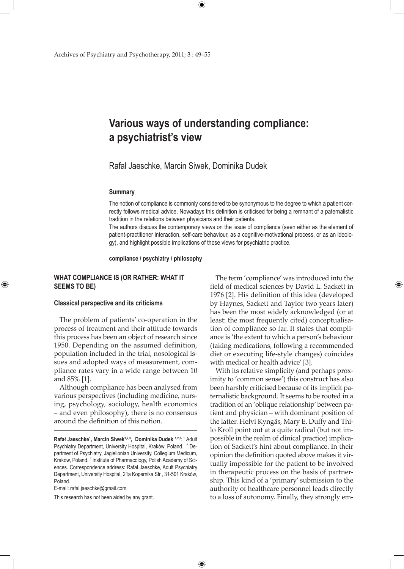# **Various ways of understanding compliance: a psychiatrist's view**

 $\bigoplus$ 

# Rafał Jaeschke, Marcin Siwek, Dominika Dudek

 $\bigoplus$ 

#### **Summary**

The notion of compliance is commonly considered to be synonymous to the degree to which a patient correctly follows medical advice. Nowadays this definition is criticised for being a remnant of a paternalistic tradition in the relations between physicians and their patients.

The authors discuss the contemporary views on the issue of compliance (seen either as the element of patient-practitioner interaction, self-care behaviour, as a cognitive-motivational process, or as an ideology), and highlight possible implications of those views for psychiatric practice.

**compliance / psychiatry / philosophy** 

# **WHAT COMPLIANCE IS (OR RATHER: WHAT IT SEEMS TO BE)**

#### **Classical perspective and its criticisms**

⊕

The problem of patients' co-operation in the process of treatment and their attitude towards this process has been an object of research since 1950. Depending on the assumed definition, population included in the trial, nosological issues and adopted ways of measurement, compliance rates vary in a wide range between 10 and 85% [1].

Although compliance has been analysed from various perspectives (including medicine, nursing, psychology, sociology, health economics – and even philosophy), there is no consensus around the definition of this notion.

E-mail: rafal.jaeschke@gmail.com

This research has not been aided by any grant.

The term 'compliance' was introduced into the field of medical sciences by David L. Sackett in 1976 [2]. His definition of this idea (developed by Haynes, Sackett and Taylor two years later) has been the most widely acknowledged (or at least: the most frequently cited) conceptualisation of compliance so far. It states that compliance is 'the extent to which a person's behaviour (taking medications, following a recommended diet or executing life-style changes) coincides with medical or health advice' [3].

⊕

With its relative simplicity (and perhaps proximity to 'common sense') this construct has also been harshly criticised because of its implicit paternalistic background. It seems to be rooted in a tradition of an 'oblique relationship' between patient and physician – with dominant position of the latter. Helvi Kyngäs, Mary E. Duffy and Thilo Kroll point out at a quite radical (but not impossible in the realm of clinical practice) implication of Sackett's hint about compliance. In their opinion the definition quoted above makes it virtually impossible for the patient to be involved in therapeutic process on the basis of partnership. This kind of a 'primary' submission to the authority of healthcare personnel leads directly to a loss of autonomy. Finally, they strongly em-

Rafał Jaeschke<sup>1</sup>, Marcin Siwek<sup>1,2,3</sup>, Dominika Dudek <sup>1,2,3</sup>: 1 Adult Psychiatry Department, University Hospital, Kraków, Poland. <sup>2</sup> Department of Psychiatry, Jagiellonian University, Collegium Medicum, Kraków, Poland.<sup>3</sup> Institute of Pharmacology, Polish Academy of Sciences. Correspondence address: Rafał Jaeschke, Adult Psychiatry Department, University Hospital, 21a Kopernika Str., 31-501 Kraków, Poland.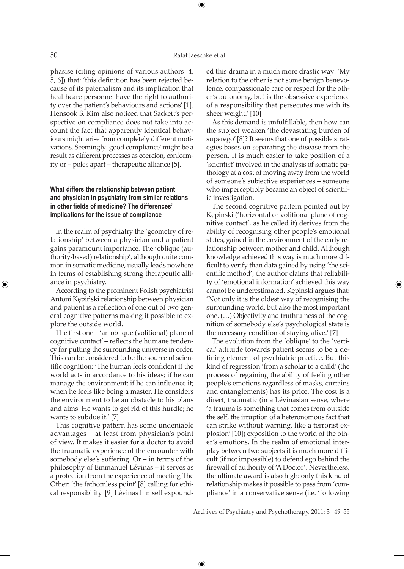phasise (citing opinions of various authors [4, 5, 6]) that: 'this definition has been rejected because of its paternalism and its implication that healthcare personnel have the right to authority over the patient's behaviours and actions' [1]. Hensook S. Kim also noticed that Sackett's perspective on compliance does not take into account the fact that apparently identical behaviours might arise from completely different motivations. Seemingly 'good compliance' might be a result as different processes as coercion, conformity or – poles apart – therapeutic alliance [5].

# **What differs the relationship between patient and physician in psychiatry from similar relations in other fields of medicine? The differences' implications for the issue of compliance**

In the realm of psychiatry the 'geometry of relationship' between a physician and a patient gains paramount importance. The 'oblique (authority-based) relationship', although quite common in somatic medicine, usually leads nowhere in terms of establishing strong therapeutic alliance in psychiatry.

According to the prominent Polish psychiatrist Antoni Kępiński relationship between physician and patient is a reflection of one out of two general cognitive patterns making it possible to explore the outside world.

The first one – 'an oblique (volitional) plane of cognitive contact' – reflects the humane tendency for putting the surrounding universe in order. This can be considered to be the source of scientific cognition: 'The human feels confident if the world acts in accordance to his ideas; if he can manage the environment; if he can influence it; when he feels like being a master. He considers the environment to be an obstacle to his plans and aims. He wants to get rid of this hurdle; he wants to subdue it.' [7]

This cognitive pattern has some undeniable advantages – at least from physician's point of view. It makes it easier for a doctor to avoid the traumatic experience of the encounter with somebody else's suffering. Or – in terms of the philosophy of Emmanuel Lévinas – it serves as a protection from the experience of meeting The Other: 'the fathomless point' [8] calling for ethical responsibility. [9] Lévinas himself expounded this drama in a much more drastic way: 'My relation to the other is not some benign benevolence, compassionate care or respect for the other's autonomy, but is the obsessive experience of a responsibility that persecutes me with its sheer weight.' [10]

As this demand is unfulfillable, then how can the subject weaken 'the devastating burden of superego' [8]? It seems that one of possible strategies bases on separating the disease from the person. It is much easier to take position of a 'scientist' involved in the analysis of somatic pathology at a cost of moving away from the world of someone's subjective experiences – someone who imperceptibly became an object of scientific investigation.

The second cognitive pattern pointed out by Kępiński ('horizontal or volitional plane of cognitive contact', as he called it) derives from the ability of recognising other people's emotional states, gained in the environment of the early relationship between mother and child. Although knowledge achieved this way is much more difficult to verify than data gained by using 'the scientific method', the author claims that reliability of 'emotional information' achieved this way cannot be underestimated. Kępiński argues that: 'Not only it is the oldest way of recognising the surrounding world, but also the most important one. (…) Objectivity and truthfulness of the cognition of somebody else's psychological state is the necessary condition of staying alive.' [7]

⊕

The evolution from the 'oblique' to the 'vertical' attitude towards patient seems to be a defining element of psychiatric practice. But this kind of regression 'from a scholar to a child' (the process of regaining the ability of feeling other people's emotions regardless of masks, curtains and entanglements) has its price. The cost is a direct, traumatic (in a Lévinasian sense, where 'a trauma is something that comes from outside the self, the irruption of a heteronomous fact that can strike without warning, like a terrorist explosion' [10]) exposition to the world of the other's emotions. In the realm of emotional interplay between two subjects it is much more difficult (if not impossible) to defend ego behind the firewall of authority of 'A Doctor'. Nevertheless, the ultimate award is also high: only this kind of relationship makes it possible to pass from 'compliance' in a conservative sense (i.e. 'following

Archives of Psychiatry and Psychotherapy, 2011; 3 : 49–55

 $\bigoplus$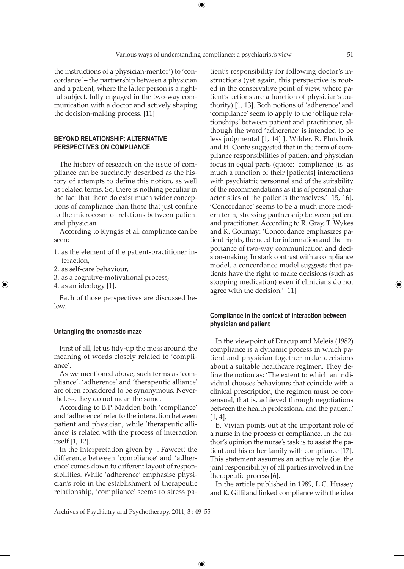⊕

the instructions of a physician-mentor') to 'concordance' – the partnership between a physician and a patient, where the latter person is a rightful subject, fully engaged in the two-way communication with a doctor and actively shaping the decision-making process. [11]

# **Beyond relationship: alternative perspectives on compliance**

The history of research on the issue of compliance can be succinctly described as the history of attempts to define this notion, as well as related terms. So, there is nothing peculiar in the fact that there do exist much wider conceptions of compliance than those that just confine to the microcosm of relations between patient and physician.

According to Kyngäs et al. compliance can be seen:

- 1. as the element of the patient-practitioner interaction,
- 2. as self-care behaviour,
- 3. as a cognitive-motivational process,
- 4. as an ideology [1].

⊕

Each of those perspectives are discussed below.

# **Untangling the onomastic maze**

First of all, let us tidy-up the mess around the meaning of words closely related to 'compliance'.

As we mentioned above, such terms as 'compliance', 'adherence' and 'therapeutic alliance' are often considered to be synonymous. Nevertheless, they do not mean the same.

According to B.P. Madden both 'compliance' and 'adherence' refer to the interaction between patient and physician, while 'therapeutic alliance' is related with the process of interaction itself [1, 12].

In the interpretation given by J. Fawcett the difference between 'compliance' and 'adherence' comes down to different layout of responsibilities. While 'adherence' emphasise physician's role in the establishment of therapeutic relationship, 'compliance' seems to stress patient's responsibility for following doctor's instructions (yet again, this perspective is rooted in the conservative point of view, where patient's actions are a function of physician's authority) [1, 13]. Both notions of 'adherence' and 'compliance' seem to apply to the 'oblique relationships' between patient and practitioner, although the word 'adherence' is intended to be less judgmental [1, 14] J. Wilder, R. Plutchnik and H. Conte suggested that in the term of compliance responsibilities of patient and physician focus in equal parts (quote: 'compliance [is] as much a function of their [patients] interactions with psychiatric personnel and of the suitability of the recommendations as it is of personal characteristics of the patients themselves.' [15, 16]. 'Concordance' seems to be a much more modern term, stressing partnership between patient and practitioner. According to R. Gray, T. Wykes and K. Gournay: 'Concordance emphasizes patient rights, the need for information and the importance of two-way communication and decision-making. In stark contrast with a compliance model, a concordance model suggests that patients have the right to make decisions (such as stopping medication) even if clinicians do not agree with the decision.' [11]

# **Compliance in the context of interaction between physician and patient**

In the viewpoint of Dracup and Meleis (1982) compliance is a dynamic process in which patient and physician together make decisions about a suitable healthcare regimen. They define the notion as: 'The extent to which an individual chooses behaviours that coincide with a clinical prescription, the regimen must be consensual, that is, achieved through negotiations between the health professional and the patient.' [1, 4].

B. Vivian points out at the important role of a nurse in the process of compliance. In the author's opinion the nurse's task is to assist the patient and his or her family with compliance [17]. This statement assumes an active role (i.e. the joint responsibility) of all parties involved in the therapeutic process [6].

In the article published in 1989, L.C. Hussey and K. Gilliland linked compliance with the idea

Archives of Psychiatry and Psychotherapy, 2011; 3 : 49–55

 $\bigoplus$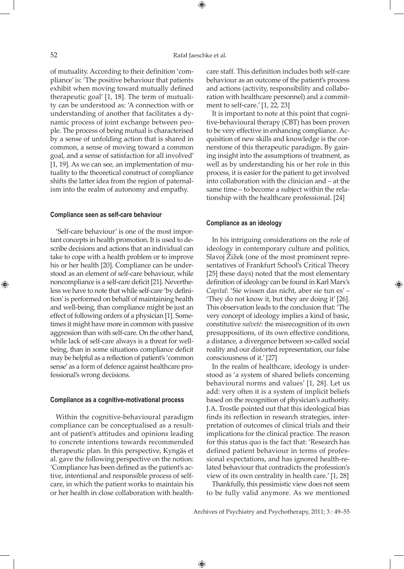⊕

of mutuality. According to their definition 'compliance' is: 'The positive behaviour that patients exhibit when moving toward mutually defined therapeutic goal' [1, 18]. The term of mutuality can be understood as: 'A connection with or understanding of another that facilitates a dynamic process of joint exchange between people. The process of being mutual is characterised by a sense of unfolding action that is shared in common, a sense of moving toward a common goal, and a sense of satisfaction for all involved' [1, 19]. As we can see, an implementation of mutuality to the theoretical construct of compliance shifts the latter idea from the region of paternalism into the realm of autonomy and empathy.

#### **Compliance seen as self-care behaviour**

'Self-care behaviour' is one of the most important concepts in health promotion. It is used to describe decisions and actions that an individual can take to cope with a health problem or to improve his or her health [20]. Compliance can be understood as an element of self-care behaviour, while noncompliance is a self-care deficit [21]. Nevertheless we have to note that while self-care 'by definition' is performed on behalf of maintaining health and well-being, than compliance might be just an effect of following orders of a physician [1]. Sometimes it might have more in common with passive aggression than with self-care. On the other hand, while lack of self-care always is a threat for wellbeing, than in some situations compliance deficit may be helpful as a reflection of patient's 'common sense' as a form of defence against healthcare professional's wrong decisions.

# **Compliance as a cognitive-motivational process**

Within the cognitive-behavioural paradigm compliance can be conceptualised as a resultant of patient's attitudes and opinions leading to concrete intentions towards recommended therapeutic plan. In this perspective, Kyngäs et al. gave the following perspective on the notion: 'Compliance has been defined as the patient's active, intentional and responsible process of selfcare, in which the patient works to maintain his or her health in close collaboration with healthcare staff. This definition includes both self-care behaviour as an outcome of the patient's process and actions (activity, responsibility and collaboration with healthcare personnel) and a commitment to self-care.' [1, 22, 23]

It is important to note at this point that cognitive-behavioural therapy (CBT) has been proven to be very effective in enhancing compliance. Acquisition of new skills and knowledge is the cornerstone of this therapeutic paradigm. By gaining insight into the assumptions of treatment, as well as by understanding his or her role in this process, it is easier for the patient to get involved into collaboration with the clinician and – at the same time – to become a subject within the relationship with the healthcare professional. [24]

# **Compliance as an ideology**

In his intriguing considerations on the role of ideology in contemporary culture and politics, Slavoj Žižek (one of the most prominent representatives of Frankfurt School's Critical Theory [25] these days) noted that the most elementary definition of ideology can be found in Karl Marx's *Capital*: 'Sie wissen das nicht, aber sie tun es' – 'They do not know it, but they are doing it' [26]. This observation leads to the conclusion that: 'The very concept of ideology implies a kind of basic, constitutive *naïveté*: the misrecognition of its own presuppositions, of its own effective conditions, a distance, a divergence between so-called social reality and our distorted representation, our false consciousness of it.' [27]

In the realm of healthcare, ideology is understood as 'a system of shared beliefs concerning behavioural norms and values' [1, 28]. Let us add: very often it is a system of implicit beliefs based on the recognition of physician's authority. J.A. Trostle pointed out that this ideological bias finds its reflection in research strategies, interpretation of outcomes of clinical trials and their implications for the clinical practice. The reason for this status quo is the fact that: 'Research has defined patient behaviour in terms of professional expectations, and has ignored health-related behaviour that contradicts the profession's view of its own centrality in health care.' [1, 28]

Thankfully, this pessimistic view does not seem to be fully valid anymore. As we mentioned

Archives of Psychiatry and Psychotherapy, 2011; 3 : 49–55

 $\bigoplus$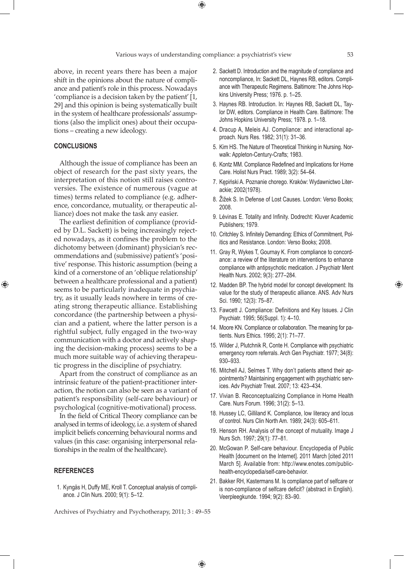$\bigoplus$ 

above, in recent years there has been a major shift in the opinions about the nature of compliance and patient's role in this process. Nowadays 'compliance is a decision taken by the patient' [1, 29] and this opinion is being systematically built in the system of healthcare professionals' assumptions (also the implicit ones) about their occupations – creating a new ideology.

# **CONCLUSIONS**

⊕

Although the issue of compliance has been an object of research for the past sixty years, the interpretation of this notion still raises controversies. The existence of numerous (vague at times) terms related to compliance (e.g. adherence, concordance, mutuality, or therapeutic alliance) does not make the task any easier.

The earliest definition of compliance (provided by D.L. Sackett) is being increasingly rejected nowadays, as it confines the problem to the dichotomy between (dominant) physician's recommendations and (submissive) patient's 'positive' response. This historic assumption (being a kind of a cornerstone of an 'oblique relationship' between a healthcare professional and a patient) seems to be particularly inadequate in psychiatry, as it usually leads nowhere in terms of creating strong therapeutic alliance. Establishing concordance (the partnership between a physician and a patient, where the latter person is a rightful subject, fully engaged in the two-way communication with a doctor and actively shaping the decision-making process) seems to be a much more suitable way of achieving therapeutic progress in the discipline of psychiatry.

Apart from the construct of compliance as an intrinsic feature of the patient-practitioner interaction, the notion can also be seen as a variant of patient's responsibility (self-care behaviour) or psychological (cognitive-motivational) process.

In the field of Critical Theory compliance can be analysed in terms of ideology, i.e. a system of shared implicit beliefs concerning behavioural norms and values (in this case: organising interpersonal relationships in the realm of the healthcare).

#### **REFERENCES**

 1. Kyngäs H, Duffy ME, Kroll T. Conceptual analysis of compliance. J Clin Nurs. 2000; 9(1): 5–12.

- 2. Sackett D. Introduction and the magnitude of compliance and noncompliance, In: Sackett DL, Haynes RB, editors. Compliance with Therapeutic Regimens. Baltimore: The Johns Hopkins University Press; 1976. p. 1–25.
- 3. Haynes RB. Introduction. In: Haynes RB, Sackett DL, Taylor DW, editors. Compliance in Health Care. Baltimore: The Johns Hopkins University Press; 1978. p. 1–18.
- 4. Dracup A, Meleis AJ. Compliance: and interactional approach. Nurs Res. 1982; 31(1): 31–36.
- 5. Kim HS. The Nature of Theoretical Thinking in Nursing. Norwalk: Appleton-Century-Crafts; 1983.
- 6. Kontz MM. Compliance Redefined and Implications for Home Care. Holist Nurs Pract. 1989; 3(2): 54–64.
- 7. Kępiński A. Poznanie chorego. Kraków: Wydawnictwo Literackie; 2002(1978).
- 8. Žižek S. In Defense of Lost Causes. London: Verso Books; 2008.
- 9. Lévinas E. Totality and Infinity. Dodrecht: Kluver Academic Publishers; 1979.
- 10. Critchley S. Infinitely Demanding: Ethics of Commitment, Politics and Resistance. London: Verso Books; 2008.
- 11. Gray R, Wykes T, Gournay K. From compliance to concordance: a review of the literature on interventions to enhance compliance with antipsychotic medication. J Psychiatr Ment Health Nurs. 2002; 9(3): 277–284.
- 12. Madden BP. The hybrid model for concept development: Its value for the study of therapeutic alliance. ANS. Adv Nurs Sci. 1990; 12(3): 75–87.
- 13. Fawcett J. Compliance: Definitions and Key Issues. J Clin Psychiatr. 1995; 56(Suppl. 1): 4–10.
- 14. Moore KN. Compliance or collaboration. The meaning for patients. Nurs Ethics. 1995; 2(1): 71–77.
- 15. Wilder J, Plutchnik R, Conte H. Compliance with psychiatric emergency room referrals. Arch Gen Psychiatr. 1977; 34(8): 930–933.
- 16. Mitchell AJ, Selmes T. Why don't patients attend their appointments? Maintaining engagement with psychiatric services. Adv Psychiatr Treat. 2007; 13: 423–434.
- 17. Vivian B. Reconceptualizing Compliance in Home Health Care. Nurs Forum. 1996; 31(2): 5–13.
- 18. Hussey LC, Gilliland K. Compliance, low literacy and locus of control. Nurs Clin North Am. 1989; 24(3): 605–611.
- 19. Henson RH. Analysis of the concept of mutuality. Image J Nurs Sch. 1997; 29(1): 77–81.
- 20. McGowan P. Self-care behaviour. Encyclopedia of Public Health [document on the Internet]. 2011 March [cited 2011 March 5]. Available from: http://www.enotes.com/publichealth-encyclopedia/self-care-behavior.
- 21. Bakker RH, Kastermans M. Is compliance part of selfcare or is non-compliance of selfcare deficit? (abstract in English). Veerpleegkunde. 1994; 9(2): 83–90.

Archives of Psychiatry and Psychotherapy, 2011; 3 : 49–55

 $\bigoplus$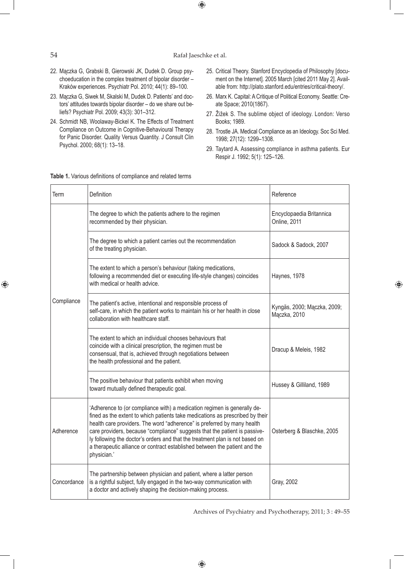$\bigoplus$ 

# 54 Rafał Jaeschke et al.

 $\bigoplus$ 

- 22. Mączka G, Grabski B, Gierowski JK, Dudek D. Group psychoeducation in the complex treatment of bipolar disorder – Kraków experiences. Psychiatr Pol. 2010; 44(1): 89–100.
- 23. Mączka G, Siwek M, Skalski M, Dudek D. Patients' and doctors' attitudes towards bipolar disorder – do we share out beliefs? Psychiatr Pol. 2009; 43(3): 301–312.
- 24. Schmidt NB, Woolaway-Bickel K. The Effects of Treatment Compliance on Outcome in Cognitive-Behavioural Therapy for Panic Disorder. Quality Versus Quantity. J Consult Clin Psychol. 2000; 68(1): 13–18.
- 25. Critical Theory. Stanford Encyclopedia of Philosophy [document on the Internet]. 2005 March [cited 2011 May 2]. Available from: http://plato.stanford.edu/entries/critical-theory/.
- 26. Marx K. Capital: A Critique of Political Economy. Seattle: Create Space; 2010(1867).
- 27. Žižek S. The sublime object of ideology. London: Verso Books; 1989.
- 28. Trostle JA. Medical Compliance as an Ideology. Soc Sci Med. 1998; 27(12): 1299–1308.
- 29. Taytard A. Assessing compliance in asthma patients. Eur Respir J. 1992; 5(1): 125–126.

⊕

| Term        | <b>Definition</b>                                                                                                                                                                                                                                                                                                                                                                                                                                                                               | Reference                                   |
|-------------|-------------------------------------------------------------------------------------------------------------------------------------------------------------------------------------------------------------------------------------------------------------------------------------------------------------------------------------------------------------------------------------------------------------------------------------------------------------------------------------------------|---------------------------------------------|
| Compliance  | The degree to which the patients adhere to the regimen<br>recommended by their physician.                                                                                                                                                                                                                                                                                                                                                                                                       | Encyclopaedia Britannica<br>Online, 2011    |
|             | The degree to which a patient carries out the recommendation<br>of the treating physician.                                                                                                                                                                                                                                                                                                                                                                                                      | Sadock & Sadock, 2007                       |
|             | The extent to which a person's behaviour (taking medications,<br>following a recommended diet or executing life-style changes) coincides<br>with medical or health advice.                                                                                                                                                                                                                                                                                                                      | Haynes, 1978                                |
|             | The patient's active, intentional and responsible process of<br>self-care, in which the patient works to maintain his or her health in close<br>collaboration with healthcare staff.                                                                                                                                                                                                                                                                                                            | Kyngäs, 2000; Mączka, 2009;<br>Mączka, 2010 |
|             | The extent to which an individual chooses behaviours that<br>coincide with a clinical prescription, the regimen must be<br>consensual, that is, achieved through negotiations between<br>the health professional and the patient.                                                                                                                                                                                                                                                               | Dracup & Meleis, 1982                       |
|             | The positive behaviour that patients exhibit when moving<br>toward mutually defined therapeutic goal.                                                                                                                                                                                                                                                                                                                                                                                           | Hussey & Gilliland, 1989                    |
| Adherence   | 'Adherence to (or compliance with) a medication regimen is generally de-<br>fined as the extent to which patients take medications as prescribed by their<br>health care providers. The word "adherence" is preferred by many health<br>care providers, because "compliance" suggests that the patient is passive-<br>ly following the doctor's orders and that the treatment plan is not based on<br>a therapeutic alliance or contract established between the patient and the<br>physician.' | Osterberg & Blaschke, 2005                  |
| Concordance | The partnership between physician and patient, where a latter person<br>is a rightful subject, fully engaged in the two-way communication with<br>a doctor and actively shaping the decision-making process.                                                                                                                                                                                                                                                                                    | Gray, 2002                                  |

#### **Table 1.** Various definitions of compliance and related terms

Archives of Psychiatry and Psychotherapy, 2011; 3 : 49–55

 $\bigoplus$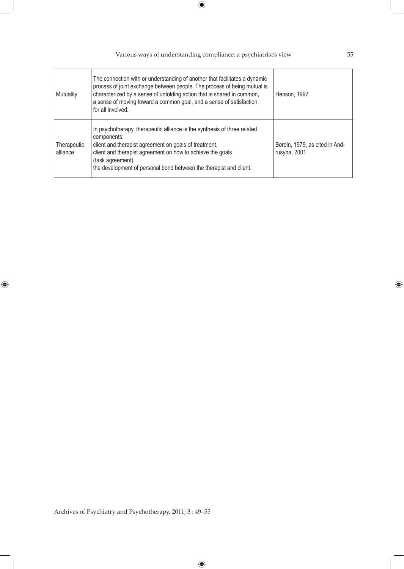| Mutuality               | The connection with or understanding of another that facilitates a dynamic<br>process of joint exchange between people. The process of being mutual is<br>characterized by a sense of unfolding action that is shared in common,<br>a sense of moving toward a common goal, and a sense of satisfaction<br>for all involved. | Henson, 1997                                   |
|-------------------------|------------------------------------------------------------------------------------------------------------------------------------------------------------------------------------------------------------------------------------------------------------------------------------------------------------------------------|------------------------------------------------|
| Therapeutic<br>alliance | In psychotherapy, therapeutic alliance is the synthesis of three related<br>components:<br>client and therapist agreement on goals of treatment,<br>client and therapist agreement on how to achieve the goals<br>(task agreement),<br>the development of personal bond between the therapist and client.                    | Bordin, 1979, as cited in And-<br>rusyna, 2001 |

Various ways of understanding compliance: a psychiatrist's view 55

 $\bigoplus$ 

Archives of Psychiatry and Psychotherapy, 2011; 3 : 49–55

 $\bigoplus$ 

 $\bigoplus$ 

 $\bigoplus$